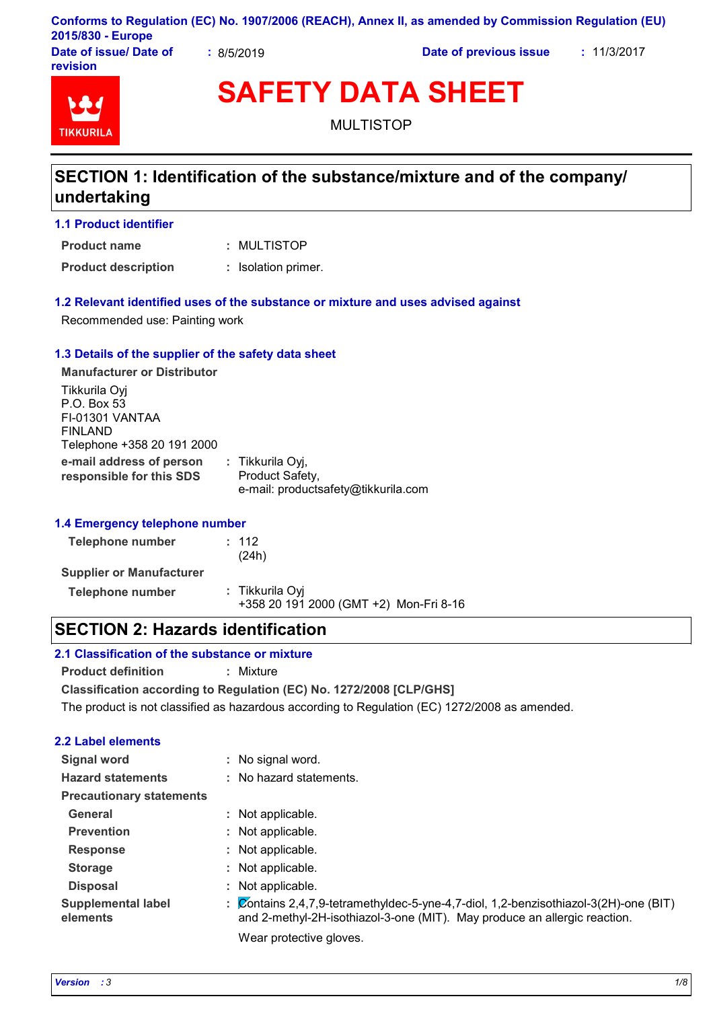|                         |                             | Conforms to Regulation (EC) No. 1907/2006 (REACH), Annex II, as amended by Commission Regulation (EU) |           |
|-------------------------|-----------------------------|-------------------------------------------------------------------------------------------------------|-----------|
| 2015/830 - Europe       |                             |                                                                                                       |           |
| Dota of incural Dota of | $\sim$ $\sim$ $\sim$ $\sim$ | Bata af municipal texto                                                                               | . 1100017 |

**Date of issue/ Date of revision**

**:** 8/5/2019 **Date of previous issue :** 11/3/2017



**SAFETY DATA SHEET**

MULTISTOP

# **SECTION 1: Identification of the substance/mixture and of the company/ undertaking**

**1.1 Product identifier**

MULTISTOP **: Product name**

**Product description :** Isolation primer.

#### **1.2 Relevant identified uses of the substance or mixture and uses advised against**

Recommended use: Painting work

#### **1.3 Details of the supplier of the safety data sheet**

**e-mail address of person responsible for this SDS :** Tikkurila Oyj, Product Safety, e-mail: productsafety@tikkurila.com **Manufacturer or Distributor** Tikkurila Oyj P.O. Box 53 FI-01301 VANTAA FINLAND Telephone +358 20 191 2000

#### **1.4 Emergency telephone number**

| Telephone number                | : 112<br>(24h)                                            |
|---------------------------------|-----------------------------------------------------------|
| <b>Supplier or Manufacturer</b> |                                                           |
| Telephone number                | : Tikkurila Oyi<br>+358 20 191 2000 (GMT +2) Mon-Fri 8-16 |

### **SECTION 2: Hazards identification**

#### **2.1 Classification of the substance or mixture**

**Product definition :** Mixture

**Classification according to Regulation (EC) No. 1272/2008 [CLP/GHS]**

The product is not classified as hazardous according to Regulation (EC) 1272/2008 as amended.

#### **2.2 Label elements**

| Signal word                           | : No signal word.                                                                                                                                                 |
|---------------------------------------|-------------------------------------------------------------------------------------------------------------------------------------------------------------------|
| <b>Hazard statements</b>              | : No hazard statements.                                                                                                                                           |
| <b>Precautionary statements</b>       |                                                                                                                                                                   |
| General                               | : Not applicable.                                                                                                                                                 |
| <b>Prevention</b>                     | : Not applicable.                                                                                                                                                 |
| <b>Response</b>                       | : Not applicable.                                                                                                                                                 |
| <b>Storage</b>                        | : Not applicable.                                                                                                                                                 |
| <b>Disposal</b>                       | : Not applicable.                                                                                                                                                 |
| <b>Supplemental label</b><br>elements | : Contains 2,4,7,9-tetramethyldec-5-yne-4,7-diol, 1,2-benzisothiazol-3(2H)-one (BIT)<br>and 2-methyl-2H-isothiazol-3-one (MIT). May produce an allergic reaction. |
|                                       | Wear protective gloves.                                                                                                                                           |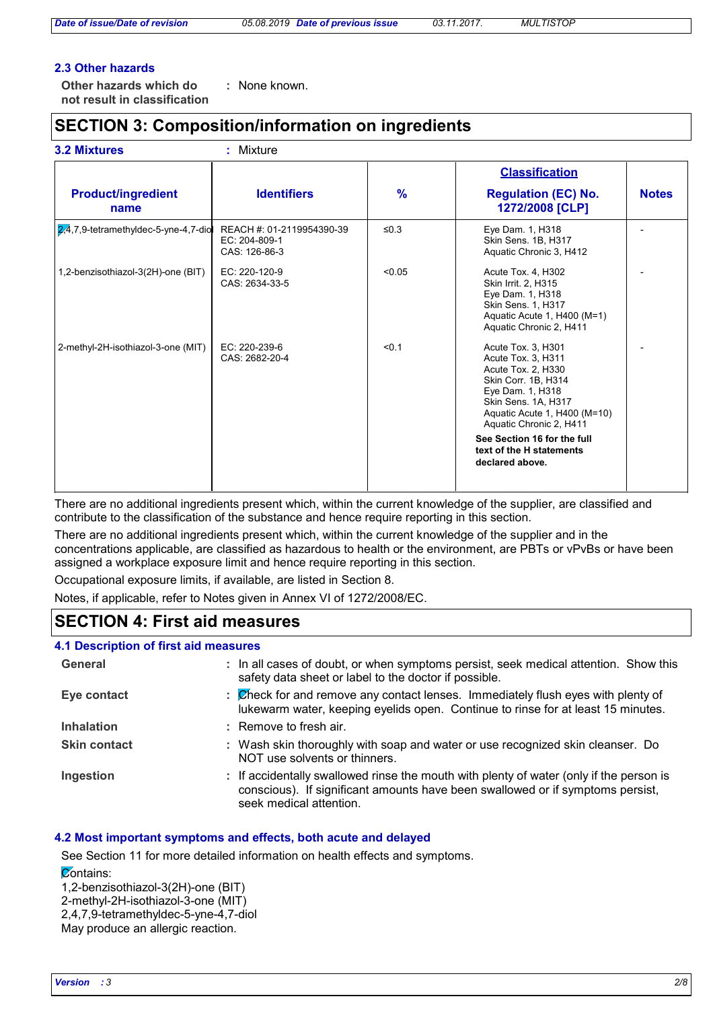#### **2.3 Other hazards**

**Other hazards which do : not result in classification** : None known.

# **SECTION 3: Composition/information on ingredients**

|                                          |                                                             |         | <b>Classification</b>                                                                                                                                                                                                                                                     |              |  |
|------------------------------------------|-------------------------------------------------------------|---------|---------------------------------------------------------------------------------------------------------------------------------------------------------------------------------------------------------------------------------------------------------------------------|--------------|--|
| <b>Product/ingredient</b><br>name        | <b>Identifiers</b>                                          | $\%$    | <b>Regulation (EC) No.</b><br>1272/2008 [CLP]                                                                                                                                                                                                                             | <b>Notes</b> |  |
| $2,4,7,9$ -tetramethyldec-5-yne-4,7-diol | REACH #: 01-2119954390-39<br>EC: 204-809-1<br>CAS: 126-86-3 | ≤ $0.3$ | Eye Dam. 1, H318<br>Skin Sens. 1B, H317<br>Aquatic Chronic 3, H412                                                                                                                                                                                                        |              |  |
| 1,2-benzisothiazol-3(2H)-one (BIT)       | EC: 220-120-9<br>CAS: 2634-33-5                             | < 0.05  | Acute Tox. 4, H302<br>Skin Irrit. 2, H315<br>Eye Dam. 1, H318<br>Skin Sens. 1, H317<br>Aquatic Acute 1, H400 (M=1)<br>Aquatic Chronic 2, H411                                                                                                                             |              |  |
| 2-methyl-2H-isothiazol-3-one (MIT)       | EC: 220-239-6<br>CAS: 2682-20-4                             | < 0.1   | Acute Tox. 3, H301<br>Acute Tox. 3, H311<br>Acute Tox. 2, H330<br>Skin Corr. 1B, H314<br>Eye Dam. 1, H318<br>Skin Sens. 1A, H317<br>Aquatic Acute 1, H400 (M=10)<br>Aquatic Chronic 2, H411<br>See Section 16 for the full<br>text of the H statements<br>declared above. |              |  |

There are no additional ingredients present which, within the current knowledge of the supplier, are classified and contribute to the classification of the substance and hence require reporting in this section.

There are no additional ingredients present which, within the current knowledge of the supplier and in the concentrations applicable, are classified as hazardous to health or the environment, are PBTs or vPvBs or have been assigned a workplace exposure limit and hence require reporting in this section.

Occupational exposure limits, if available, are listed in Section 8.

Notes, if applicable, refer to Notes given in Annex VI of 1272/2008/EC.

### **SECTION 4: First aid measures**

#### **4.1 Description of first aid measures**

| General             | : In all cases of doubt, or when symptoms persist, seek medical attention. Show this<br>safety data sheet or label to the doctor if possible.                                                        |
|---------------------|------------------------------------------------------------------------------------------------------------------------------------------------------------------------------------------------------|
| Eye contact         | : Check for and remove any contact lenses. Immediately flush eyes with plenty of<br>lukewarm water, keeping eyelids open. Continue to rinse for at least 15 minutes.                                 |
| <b>Inhalation</b>   | : Remove to fresh air.                                                                                                                                                                               |
| <b>Skin contact</b> | : Wash skin thoroughly with soap and water or use recognized skin cleanser. Do<br>NOT use solvents or thinners.                                                                                      |
| Ingestion           | : If accidentally swallowed rinse the mouth with plenty of water (only if the person is<br>conscious). If significant amounts have been swallowed or if symptoms persist,<br>seek medical attention. |

#### **4.2 Most important symptoms and effects, both acute and delayed**

See Section 11 for more detailed information on health effects and symptoms. **Contains:** 1,2-benzisothiazol-3(2H)-one (BIT)

2-methyl-2H-isothiazol-3-one (MIT)

2,4,7,9-tetramethyldec-5-yne-4,7-diol

May produce an allergic reaction.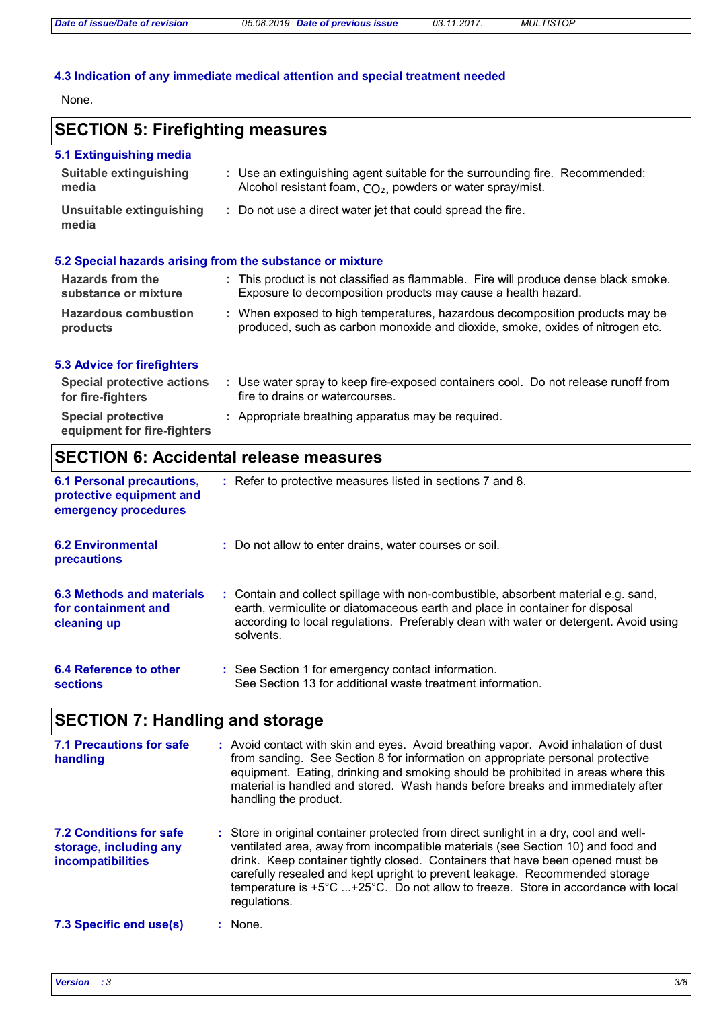### **4.3 Indication of any immediate medical attention and special treatment needed**

None.

# **SECTION 5: Firefighting measures**

| 5.1 Extinguishing media                                   |                                                                                                                                                        |  |  |
|-----------------------------------------------------------|--------------------------------------------------------------------------------------------------------------------------------------------------------|--|--|
| Suitable extinguishing<br>media                           | : Use an extinguishing agent suitable for the surrounding fire. Recommended:<br>Alcohol resistant foam, CO <sub>2</sub> , powders or water spray/mist. |  |  |
| Unsuitable extinguishing<br>media                         | : Do not use a direct water jet that could spread the fire.                                                                                            |  |  |
| 5.2 Special hazards arising from the substance or mixture |                                                                                                                                                        |  |  |

| <b>Hazards from the</b><br>substance or mixture | : This product is not classified as flammable. Fire will produce dense black smoke.<br>Exposure to decomposition products may cause a health hazard.          |
|-------------------------------------------------|---------------------------------------------------------------------------------------------------------------------------------------------------------------|
| <b>Hazardous combustion</b><br>products         | : When exposed to high temperatures, hazardous decomposition products may be<br>produced, such as carbon monoxide and dioxide, smoke, oxides of nitrogen etc. |

#### **5.3 Advice for firefighters**

| Special protective actions<br>for fire-fighters          | Use water spray to keep fire-exposed containers cool. Do not release runoff from<br>fire to drains or watercourses. |
|----------------------------------------------------------|---------------------------------------------------------------------------------------------------------------------|
| <b>Special protective</b><br>equipment for fire-fighters | : Appropriate breathing apparatus may be required.                                                                  |

# **SECTION 6: Accidental release measures**

| <b>6.1 Personal precautions,</b><br>protective equipment and<br>emergency procedures | : Refer to protective measures listed in sections 7 and 8.                                                                                                                                                                                                               |
|--------------------------------------------------------------------------------------|--------------------------------------------------------------------------------------------------------------------------------------------------------------------------------------------------------------------------------------------------------------------------|
| <b>6.2 Environmental</b><br><b>precautions</b>                                       | : Do not allow to enter drains, water courses or soil.                                                                                                                                                                                                                   |
| 6.3 Methods and materials<br>for containment and<br>cleaning up                      | : Contain and collect spillage with non-combustible, absorbent material e.g. sand,<br>earth, vermiculite or diatomaceous earth and place in container for disposal<br>according to local regulations. Preferably clean with water or detergent. Avoid using<br>solvents. |
| 6.4 Reference to other<br><b>sections</b>                                            | : See Section 1 for emergency contact information.<br>See Section 13 for additional waste treatment information.                                                                                                                                                         |

# **SECTION 7: Handling and storage**

| 7.1 Precautions for safe<br>handling                                          | : Avoid contact with skin and eyes. Avoid breathing vapor. Avoid inhalation of dust<br>from sanding. See Section 8 for information on appropriate personal protective<br>equipment. Eating, drinking and smoking should be prohibited in areas where this<br>material is handled and stored. Wash hands before breaks and immediately after<br>handling the product.                                                                           |
|-------------------------------------------------------------------------------|------------------------------------------------------------------------------------------------------------------------------------------------------------------------------------------------------------------------------------------------------------------------------------------------------------------------------------------------------------------------------------------------------------------------------------------------|
| <b>7.2 Conditions for safe</b><br>storage, including any<br>incompatibilities | : Store in original container protected from direct sunlight in a dry, cool and well-<br>ventilated area, away from incompatible materials (see Section 10) and food and<br>drink. Keep container tightly closed. Containers that have been opened must be<br>carefully resealed and kept upright to prevent leakage. Recommended storage<br>temperature is +5°C +25°C. Do not allow to freeze. Store in accordance with local<br>regulations. |
| 7.3 Specific end use(s)                                                       | None.                                                                                                                                                                                                                                                                                                                                                                                                                                          |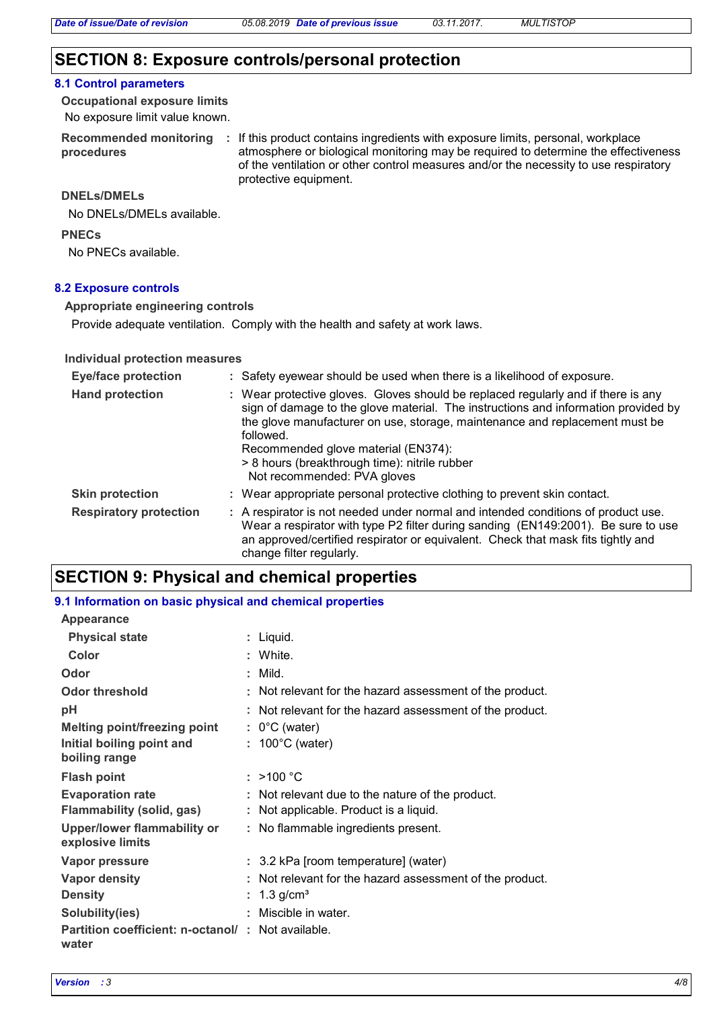### **SECTION 8: Exposure controls/personal protection**

#### **8.1 Control parameters**

No exposure limit value known. **Occupational exposure limits**

**procedures**

Recommended monitoring : If this product contains ingredients with exposure limits, personal, workplace atmosphere or biological monitoring may be required to determine the effectiveness of the ventilation or other control measures and/or the necessity to use respiratory protective equipment.

#### **DNELs/DMELs**

No DNELs/DMELs available.

#### **PNECs**

No PNECs available.

#### **8.2 Exposure controls**

#### **Appropriate engineering controls**

Provide adequate ventilation. Comply with the health and safety at work laws.

#### **Individual protection measures**

| <b>Eye/face protection</b>    | : Safety eyewear should be used when there is a likelihood of exposure.                                                                                                                                                                                                                                                                                                                    |
|-------------------------------|--------------------------------------------------------------------------------------------------------------------------------------------------------------------------------------------------------------------------------------------------------------------------------------------------------------------------------------------------------------------------------------------|
| <b>Hand protection</b>        | : Wear protective gloves. Gloves should be replaced regularly and if there is any<br>sign of damage to the glove material. The instructions and information provided by<br>the glove manufacturer on use, storage, maintenance and replacement must be<br>followed.<br>Recommended glove material (EN374):<br>> 8 hours (breakthrough time): nitrile rubber<br>Not recommended: PVA gloves |
| <b>Skin protection</b>        | : Wear appropriate personal protective clothing to prevent skin contact.                                                                                                                                                                                                                                                                                                                   |
| <b>Respiratory protection</b> | : A respirator is not needed under normal and intended conditions of product use.<br>Wear a respirator with type P2 filter during sanding (EN149:2001). Be sure to use<br>an approved/certified respirator or equivalent. Check that mask fits tightly and<br>change filter regularly.                                                                                                     |

### **SECTION 9: Physical and chemical properties**

#### **9.1 Information on basic physical and chemical properties**

| Appearance                                        |                                                          |
|---------------------------------------------------|----------------------------------------------------------|
| <b>Physical state</b>                             | : Liquid.                                                |
| Color                                             | : White.                                                 |
| Odor                                              | $:$ Mild.                                                |
| <b>Odor threshold</b>                             | : Not relevant for the hazard assessment of the product. |
| рH                                                | : Not relevant for the hazard assessment of the product. |
| <b>Melting point/freezing point</b>               | $: 0^{\circ}$ C (water)                                  |
| Initial boiling point and                         | $: 100^{\circ}$ C (water)                                |
| boiling range                                     |                                                          |
| <b>Flash point</b>                                | $:$ >100 °C                                              |
| <b>Evaporation rate</b>                           | : Not relevant due to the nature of the product.         |
| <b>Flammability (solid, gas)</b>                  | : Not applicable. Product is a liquid.                   |
| <b>Upper/lower flammability or</b>                | : No flammable ingredients present.                      |
| explosive limits                                  |                                                          |
| Vapor pressure                                    | : 3.2 kPa [room temperature] (water)                     |
| <b>Vapor density</b>                              | : Not relevant for the hazard assessment of the product. |
| <b>Density</b>                                    | : $1.3$ g/cm <sup>3</sup>                                |
| Solubility(ies)                                   | : Miscible in water.                                     |
| Partition coefficient: n-octanol/: Not available. |                                                          |
| water                                             |                                                          |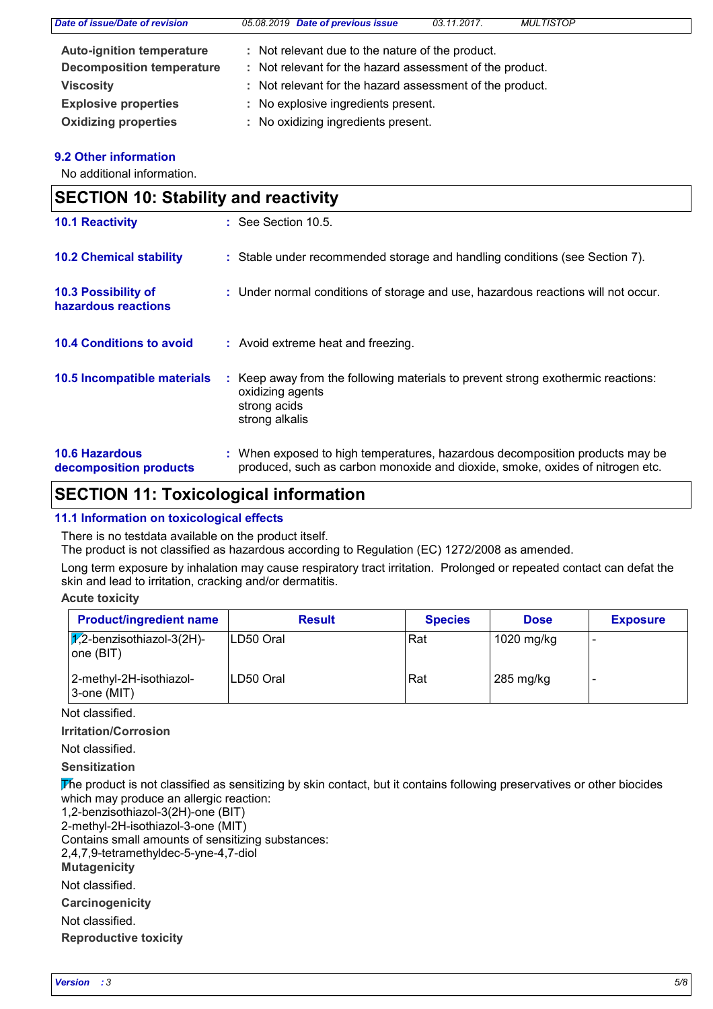| Date of issue/Date of revision   | 05.08.2019 Date of previous issue                        | 03.11.2017. | <b>MULTISTOP</b> |  |
|----------------------------------|----------------------------------------------------------|-------------|------------------|--|
| <b>Auto-ignition temperature</b> | : Not relevant due to the nature of the product.         |             |                  |  |
| <b>Decomposition temperature</b> | : Not relevant for the hazard assessment of the product. |             |                  |  |
| <b>Viscosity</b>                 | : Not relevant for the hazard assessment of the product. |             |                  |  |
| <b>Explosive properties</b>      | : No explosive ingredients present.                      |             |                  |  |
| <b>Oxidizing properties</b>      | : No oxidizing ingredients present.                      |             |                  |  |

#### **9.2 Other information**

No additional information.

| <b>SECTION 10: Stability and reactivity</b>     |                                                                                                                                                               |
|-------------------------------------------------|---------------------------------------------------------------------------------------------------------------------------------------------------------------|
| <b>10.1 Reactivity</b>                          | $\therefore$ See Section 10.5.                                                                                                                                |
| <b>10.2 Chemical stability</b>                  | : Stable under recommended storage and handling conditions (see Section 7).                                                                                   |
| 10.3 Possibility of<br>hazardous reactions      | : Under normal conditions of storage and use, hazardous reactions will not occur.                                                                             |
| <b>10.4 Conditions to avoid</b>                 | : Avoid extreme heat and freezing.                                                                                                                            |
| 10.5 Incompatible materials                     | Keep away from the following materials to prevent strong exothermic reactions:<br>oxidizing agents<br>strong acids<br>strong alkalis                          |
| <b>10.6 Hazardous</b><br>decomposition products | : When exposed to high temperatures, hazardous decomposition products may be<br>produced, such as carbon monoxide and dioxide, smoke, oxides of nitrogen etc. |

### **SECTION 11: Toxicological information**

#### **11.1 Information on toxicological effects**

There is no testdata available on the product itself.

The product is not classified as hazardous according to Regulation (EC) 1272/2008 as amended.

Long term exposure by inhalation may cause respiratory tract irritation. Prolonged or repeated contact can defat the skin and lead to irritation, cracking and/or dermatitis.

**Acute toxicity**

| <b>Product/ingredient name</b>                          | <b>Result</b> | <b>Species</b> | <b>Dose</b> | <b>Exposure</b> |
|---------------------------------------------------------|---------------|----------------|-------------|-----------------|
| $ \chi$ <sub>2</sub> -benzisothiazol-3(2H)-<br>one(BIT) | ILD50 Oral    | Rat            | 1020 mg/kg  | -               |
| 2-methyl-2H-isothiazol-<br>3-one (MIT)                  | ILD50 Oral    | Rat            | 285 mg/kg   |                 |

Not classified.

**Irritation/Corrosion**

Not classified.

**Sensitization**

The product is not classified as sensitizing by skin contact, but it contains following preservatives or other biocides which may produce an allergic reaction:

1,2-benzisothiazol-3(2H)-one (BIT)

2-methyl-2H-isothiazol-3-one (MIT)

Contains small amounts of sensitizing substances:

2,4,7,9-tetramethyldec-5-yne-4,7-diol

**Mutagenicity**

Not classified.

**Carcinogenicity**

Not classified.

**Reproductive toxicity**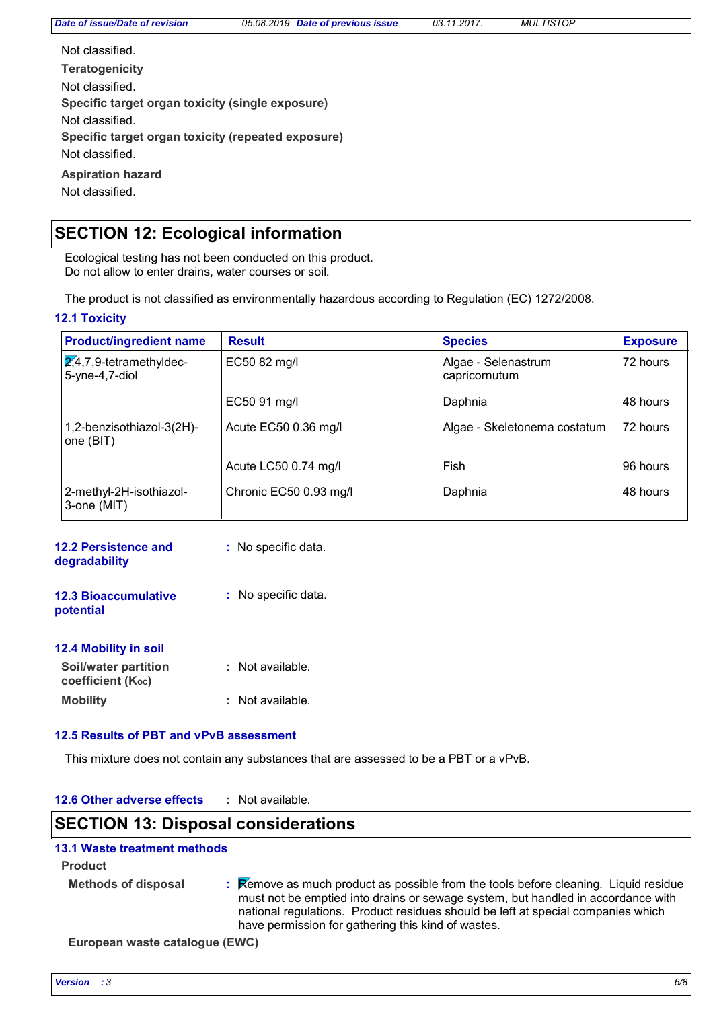| Not classified.                                    |
|----------------------------------------------------|
| <b>Teratogenicity</b>                              |
| Not classified.                                    |
| Specific target organ toxicity (single exposure)   |
| Not classified.                                    |
| Specific target organ toxicity (repeated exposure) |
| Not classified.                                    |
| <b>Aspiration hazard</b>                           |
| Not classified.                                    |

# **SECTION 12: Ecological information**

Ecological testing has not been conducted on this product. Do not allow to enter drains, water courses or soil.

The product is not classified as environmentally hazardous according to Regulation (EC) 1272/2008.

#### **12.1 Toxicity**

| <b>Product/ingredient name</b>                         | <b>Result</b>          | <b>Species</b>                       | <b>Exposure</b> |
|--------------------------------------------------------|------------------------|--------------------------------------|-----------------|
| $\sqrt{2,}4,7,9$ -tetramethyldec-<br>$5$ -yne-4,7-diol | EC50 82 mg/l           | Algae - Selenastrum<br>capricornutum | 72 hours        |
|                                                        | EC50 91 mg/l           | Daphnia                              | 48 hours        |
| 1,2-benzisothiazol-3(2H)-<br>one (BIT)                 | Acute EC50 0.36 mg/l   | Algae - Skeletonema costatum         | 72 hours        |
|                                                        | Acute LC50 0.74 mg/l   | Fish                                 | 196 hours       |
| 2-methyl-2H-isothiazol-<br>3-one (MIT)                 | Chronic EC50 0.93 mg/l | Daphnia                              | 148 hours       |

| 12.2 Persistence and<br>degradability            | : No specific data. |
|--------------------------------------------------|---------------------|
| <b>12.3 Bioaccumulative</b><br>potential         | : No specific data. |
| <b>12.4 Mobility in soil</b>                     |                     |
| Soil/water partition<br><b>coefficient (Koc)</b> | Not available.      |
| <b>Mobility</b>                                  | Not available.      |

#### **12.5 Results of PBT and vPvB assessment**

This mixture does not contain any substances that are assessed to be a PBT or a vPvB.

| 12.6 Other adverse effects | Not available. |  |
|----------------------------|----------------|--|
|----------------------------|----------------|--|

### **SECTION 13: Disposal considerations**

#### **13.1 Waste treatment methods**

**Product**

**Methods of disposal :**

Remove as much product as possible from the tools before cleaning. Liquid residue must not be emptied into drains or sewage system, but handled in accordance with national regulations. Product residues should be left at special companies which have permission for gathering this kind of wastes.

**European waste catalogue (EWC)**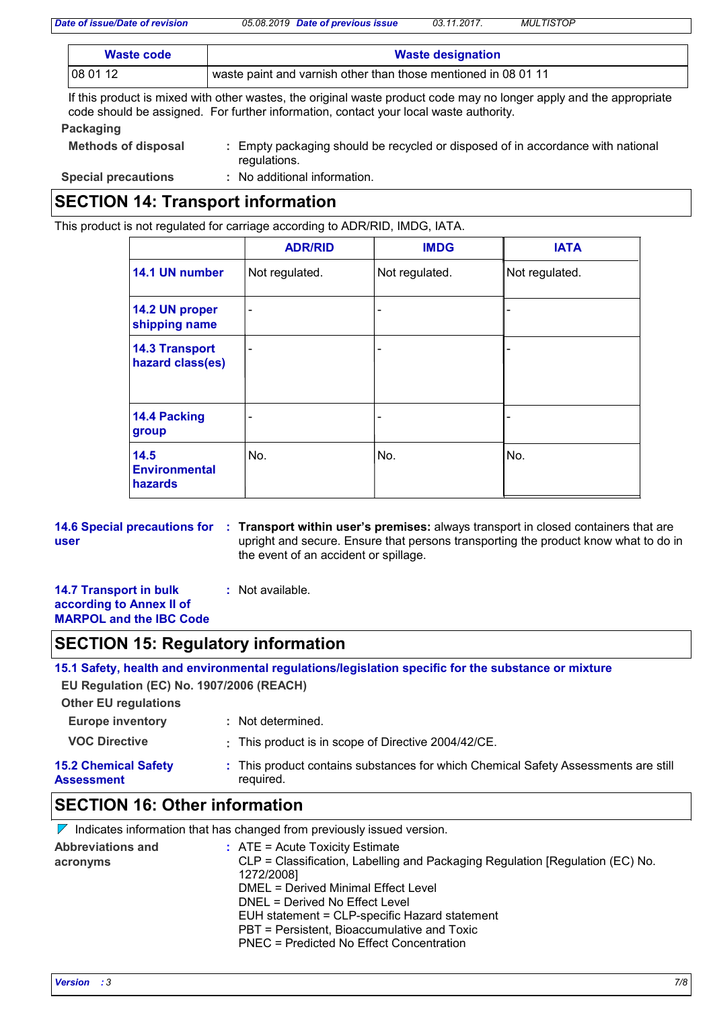*Date of issue/Date of revision 05.08.2019 Date of previous issue 03.11.2017. MULTISTOP*

| Waste code | <b>Waste designation</b>                                       |
|------------|----------------------------------------------------------------|
| 08 01 12   | waste paint and varnish other than those mentioned in 08 01 11 |

If this product is mixed with other wastes, the original waste product code may no longer apply and the appropriate code should be assigned. For further information, contact your local waste authority.

#### **Packaging**

| <b>Methods of disposal</b> | Empty packaging should be recycled or disposed of in accordance with national<br>regulations. |
|----------------------------|-----------------------------------------------------------------------------------------------|
| <b>Special precautions</b> | : No additional information.                                                                  |

# **SECTION 14: Transport information**

This product is not regulated for carriage according to ADR/RID, IMDG, IATA.

|                                           | <b>ADR/RID</b>               | <b>IMDG</b>              | <b>IATA</b>    |
|-------------------------------------------|------------------------------|--------------------------|----------------|
| 14.1 UN number                            | Not regulated.               | Not regulated.           | Not regulated. |
| 14.2 UN proper<br>shipping name           | $\qquad \qquad \blacksquare$ | $\overline{\phantom{a}}$ |                |
| <b>14.3 Transport</b><br>hazard class(es) | $\qquad \qquad \blacksquare$ | $\overline{\phantom{a}}$ |                |
| 14.4 Packing<br>group                     |                              | $\overline{\phantom{a}}$ |                |
| 14.5<br><b>Environmental</b><br>hazards   | No.                          | No.                      | No.            |

**14.6 Special precautions for : Transport within user's premises: always transport in closed containers that are user** upright and secure. Ensure that persons transporting the product know what to do in the event of an accident or spillage.

#### **14.7 Transport in bulk according to Annex II of MARPOL and the IBC Code :** Not available.

### **SECTION 15: Regulatory information**

**15.1 Safety, health and environmental regulations/legislation specific for the substance or mixture**

**EU Regulation (EC) No. 1907/2006 (REACH)**

| <b>Other EU regulations</b>               |                                                                                                 |
|-------------------------------------------|-------------------------------------------------------------------------------------------------|
| <b>Europe inventory</b>                   | : Not determined.                                                                               |
| <b>VOC Directive</b>                      | : This product is in scope of Directive 2004/42/CE.                                             |
| <b>15.2 Chemical Safety</b><br>Assessment | : This product contains substances for which Chemical Safety Assessments are still<br>required. |

## **SECTION 16: Other information**

|                                      | $\nabla$ Indicates information that has changed from previously issued version.                                                                                                                                                                                                                                                                                |
|--------------------------------------|----------------------------------------------------------------------------------------------------------------------------------------------------------------------------------------------------------------------------------------------------------------------------------------------------------------------------------------------------------------|
| <b>Abbreviations and</b><br>acronyms | $\therefore$ ATE = Acute Toxicity Estimate<br>CLP = Classification, Labelling and Packaging Regulation [Regulation (EC) No.<br>1272/2008]<br>DMEL = Derived Minimal Effect Level<br>DNEL = Derived No Effect Level<br>EUH statement = CLP-specific Hazard statement<br>PBT = Persistent, Bioaccumulative and Toxic<br>PNEC = Predicted No Effect Concentration |
|                                      |                                                                                                                                                                                                                                                                                                                                                                |